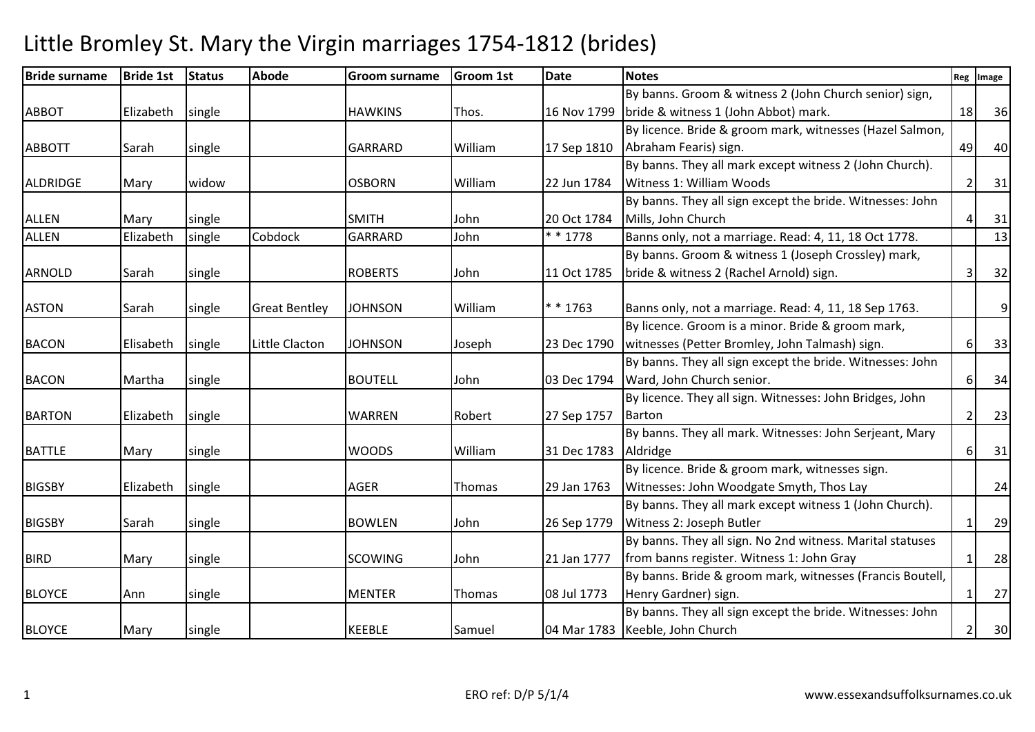| <b>Bride surname</b> | <b>Bride 1st</b> | <b>Status</b> | <b>Abode</b>         | <b>Groom surname</b> | <b>Groom 1st</b> | <b>Date</b> | <b>Notes</b>                                              | Reg                      | Image |
|----------------------|------------------|---------------|----------------------|----------------------|------------------|-------------|-----------------------------------------------------------|--------------------------|-------|
|                      |                  |               |                      |                      |                  |             | By banns. Groom & witness 2 (John Church senior) sign,    |                          |       |
| <b>ABBOT</b>         | Elizabeth        | single        |                      | <b>HAWKINS</b>       | Thos.            |             | 16 Nov 1799 bride & witness 1 (John Abbot) mark.          | 18                       | 36    |
|                      |                  |               |                      |                      |                  |             | By licence. Bride & groom mark, witnesses (Hazel Salmon,  |                          |       |
| <b>ABBOTT</b>        | Sarah            | single        |                      | <b>GARRARD</b>       | William          | 17 Sep 1810 | Abraham Fearis) sign.                                     | 49                       | 40    |
|                      |                  |               |                      |                      |                  |             | By banns. They all mark except witness 2 (John Church).   |                          |       |
| <b>ALDRIDGE</b>      | Mary             | widow         |                      | <b>OSBORN</b>        | William          | 22 Jun 1784 | Witness 1: William Woods                                  | 2                        | 31    |
|                      |                  |               |                      |                      |                  |             | By banns. They all sign except the bride. Witnesses: John |                          |       |
| <b>ALLEN</b>         | Mary             | single        |                      | <b>SMITH</b>         | John             | 20 Oct 1784 | Mills, John Church                                        |                          | 31    |
| <b>ALLEN</b>         | Elizabeth        | single        | Cobdock              | <b>GARRARD</b>       | John             | * * 1778    | Banns only, not a marriage. Read: 4, 11, 18 Oct 1778.     |                          | 13    |
|                      |                  |               |                      |                      |                  |             | By banns. Groom & witness 1 (Joseph Crossley) mark,       |                          |       |
| <b>ARNOLD</b>        | Sarah            | single        |                      | <b>ROBERTS</b>       | John             | 11 Oct 1785 | bride & witness 2 (Rachel Arnold) sign.                   | Э                        | 32    |
|                      |                  |               |                      |                      |                  |             |                                                           |                          |       |
| <b>ASTON</b>         | Sarah            | single        | <b>Great Bentley</b> | <b>JOHNSON</b>       | William          | * * 1763    | Banns only, not a marriage. Read: 4, 11, 18 Sep 1763.     |                          | 9     |
|                      |                  |               |                      |                      |                  |             | By licence. Groom is a minor. Bride & groom mark,         |                          |       |
| <b>BACON</b>         | Elisabeth        | single        | Little Clacton       | <b>JOHNSON</b>       | Joseph           | 23 Dec 1790 | witnesses (Petter Bromley, John Talmash) sign.            | 6                        | 33    |
|                      |                  |               |                      |                      |                  |             | By banns. They all sign except the bride. Witnesses: John |                          |       |
| <b>BACON</b>         | Martha           | single        |                      | <b>BOUTELL</b>       | John             |             | 03 Dec 1794   Ward, John Church senior.                   | 6                        | 34    |
|                      |                  |               |                      |                      |                  |             | By licence. They all sign. Witnesses: John Bridges, John  |                          |       |
| <b>BARTON</b>        | Elizabeth        | single        |                      | <b>WARREN</b>        | Robert           | 27 Sep 1757 | Barton                                                    | $\overline{\phantom{a}}$ | 23    |
|                      |                  |               |                      |                      |                  |             | By banns. They all mark. Witnesses: John Serjeant, Mary   |                          |       |
| <b>BATTLE</b>        | Mary             | single        |                      | <b>WOODS</b>         | William          | 31 Dec 1783 | Aldridge                                                  | 6                        | 31    |
|                      |                  |               |                      |                      |                  |             | By licence. Bride & groom mark, witnesses sign.           |                          |       |
| <b>BIGSBY</b>        | Elizabeth        | single        |                      | AGER                 | Thomas           | 29 Jan 1763 | Witnesses: John Woodgate Smyth, Thos Lay                  |                          | 24    |
|                      |                  |               |                      |                      |                  |             | By banns. They all mark except witness 1 (John Church).   |                          |       |
| <b>BIGSBY</b>        | Sarah            | single        |                      | <b>BOWLEN</b>        | John             | 26 Sep 1779 | Witness 2: Joseph Butler                                  | 1                        | 29    |
|                      |                  |               |                      |                      |                  |             | By banns. They all sign. No 2nd witness. Marital statuses |                          |       |
| <b>BIRD</b>          | Mary             | single        |                      | <b>SCOWING</b>       | John             | 21 Jan 1777 | from banns register. Witness 1: John Gray                 |                          | 28    |
|                      |                  |               |                      |                      |                  |             | By banns. Bride & groom mark, witnesses (Francis Boutell, |                          |       |
| <b>BLOYCE</b>        | Ann              | single        |                      | <b>MENTER</b>        | Thomas           | 08 Jul 1773 | Henry Gardner) sign.                                      | 1                        | 27    |
|                      |                  |               |                      |                      |                  |             | By banns. They all sign except the bride. Witnesses: John |                          |       |
| <b>BLOYCE</b>        | Mary             | single        |                      | <b>KEEBLE</b>        | Samuel           |             | 04 Mar 1783   Keeble, John Church                         | $\overline{2}$           | 30    |
|                      |                  |               |                      |                      |                  |             |                                                           |                          |       |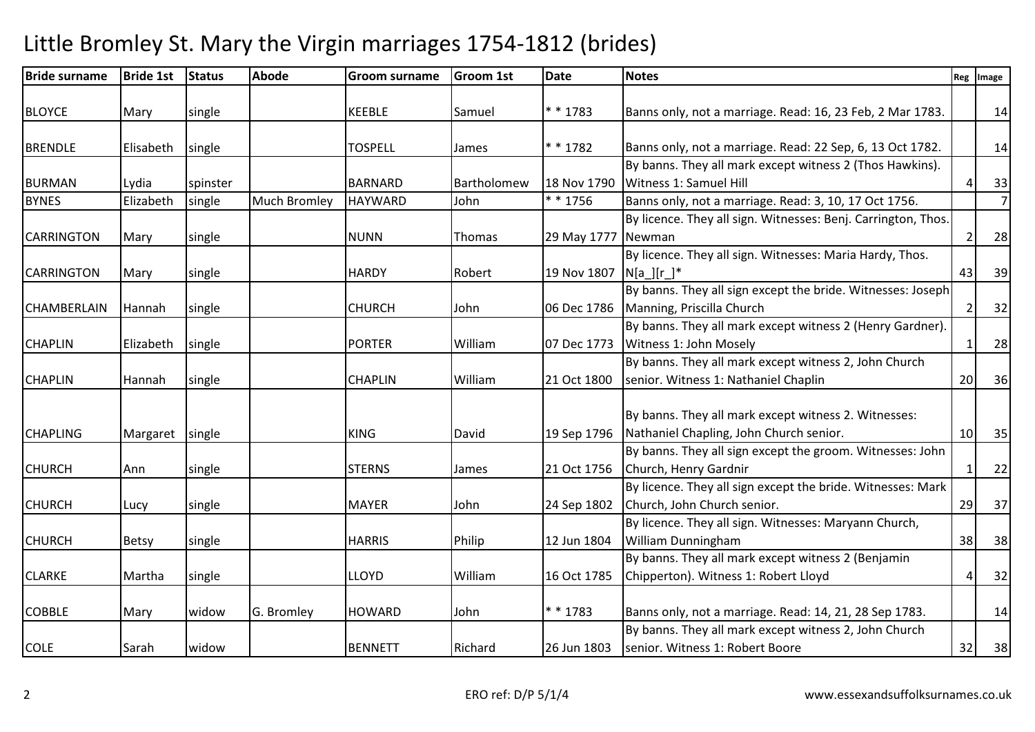| <b>Bride surname</b> | <b>Bride 1st</b> | <b>Status</b> | <b>Abode</b>        | <b>Groom surname</b> | <b>Groom 1st</b> | <b>Date</b>        | <b>Notes</b>                                                  | Reg             | Image          |
|----------------------|------------------|---------------|---------------------|----------------------|------------------|--------------------|---------------------------------------------------------------|-----------------|----------------|
| <b>BLOYCE</b>        | Mary             | single        |                     | <b>KEEBLE</b>        | Samuel           | * * 1783           | Banns only, not a marriage. Read: 16, 23 Feb, 2 Mar 1783.     |                 | 14             |
|                      |                  |               |                     |                      |                  |                    |                                                               |                 |                |
| <b>BRENDLE</b>       | Elisabeth        | single        |                     | <b>TOSPELL</b>       | James            | * * 1782           | Banns only, not a marriage. Read: 22 Sep, 6, 13 Oct 1782.     |                 | 14             |
|                      |                  |               |                     |                      |                  |                    | By banns. They all mark except witness 2 (Thos Hawkins).      |                 |                |
| <b>BURMAN</b>        | Lydia            | spinster      |                     | <b>BARNARD</b>       | Bartholomew      | 18 Nov 1790        | Witness 1: Samuel Hill                                        | 4               | 33             |
| <b>BYNES</b>         | Elizabeth        | single        | <b>Much Bromley</b> | <b>HAYWARD</b>       | John             | * * 1756           | Banns only, not a marriage. Read: 3, 10, 17 Oct 1756.         |                 | $\overline{7}$ |
|                      |                  |               |                     |                      |                  |                    | By licence. They all sign. Witnesses: Benj. Carrington, Thos. |                 |                |
| <b>CARRINGTON</b>    | Mary             | single        |                     | <b>NUNN</b>          | Thomas           | 29 May 1777 Newman |                                                               | $\overline{2}$  | 28             |
|                      |                  |               |                     |                      |                  |                    | By licence. They all sign. Witnesses: Maria Hardy, Thos.      |                 |                |
| <b>CARRINGTON</b>    | Mary             | single        |                     | <b>HARDY</b>         | Robert           | 19 Nov 1807        | $N[a_{-}][r_{-}]^*$                                           | 43              | 39             |
|                      |                  |               |                     |                      |                  |                    | By banns. They all sign except the bride. Witnesses: Joseph   |                 |                |
| <b>CHAMBERLAIN</b>   | Hannah           | single        |                     | <b>CHURCH</b>        | John             |                    | 06 Dec 1786 Manning, Priscilla Church                         | $\mathcal{P}$   | 32             |
|                      |                  |               |                     |                      |                  |                    | By banns. They all mark except witness 2 (Henry Gardner).     |                 |                |
| <b>CHAPLIN</b>       | Elizabeth        | single        |                     | <b>PORTER</b>        | William          | 07 Dec 1773        | Witness 1: John Mosely                                        |                 | 28             |
|                      |                  |               |                     |                      |                  |                    | By banns. They all mark except witness 2, John Church         |                 |                |
| <b>CHAPLIN</b>       | Hannah           | single        |                     | <b>CHAPLIN</b>       | William          | 21 Oct 1800        | senior. Witness 1: Nathaniel Chaplin                          | 20              | 36             |
|                      |                  |               |                     |                      |                  |                    |                                                               |                 |                |
|                      |                  |               |                     |                      |                  |                    | By banns. They all mark except witness 2. Witnesses:          |                 |                |
| <b>CHAPLING</b>      | Margaret         | single        |                     | <b>KING</b>          | David            | 19 Sep 1796        | Nathaniel Chapling, John Church senior.                       | 10 <sup>1</sup> | 35             |
|                      |                  |               |                     |                      |                  |                    | By banns. They all sign except the groom. Witnesses: John     |                 |                |
| <b>CHURCH</b>        | Ann              | single        |                     | <b>STERNS</b>        | James            | 21 Oct 1756        | Church, Henry Gardnir                                         |                 | 22             |
|                      |                  |               |                     |                      |                  |                    | By licence. They all sign except the bride. Witnesses: Mark   |                 |                |
| <b>CHURCH</b>        | Lucy             | single        |                     | <b>MAYER</b>         | John             | 24 Sep 1802        | Church, John Church senior.                                   | 29              | 37             |
|                      |                  |               |                     |                      |                  |                    | By licence. They all sign. Witnesses: Maryann Church,         |                 |                |
| <b>CHURCH</b>        | <b>Betsy</b>     | single        |                     | <b>HARRIS</b>        | Philip           | 12 Jun 1804        | <b>William Dunningham</b>                                     | 38              | 38             |
|                      |                  |               |                     |                      |                  |                    | By banns. They all mark except witness 2 (Benjamin            |                 |                |
| <b>CLARKE</b>        | Martha           | single        |                     | <b>LLOYD</b>         | William          | 16 Oct 1785        | Chipperton). Witness 1: Robert Lloyd                          | Δ               | 32             |
|                      |                  |               |                     |                      |                  |                    |                                                               |                 |                |
| <b>COBBLE</b>        | Mary             | widow         | G. Bromley          | <b>HOWARD</b>        | John             | * * 1783           | Banns only, not a marriage. Read: 14, 21, 28 Sep 1783.        |                 | 14             |
|                      |                  |               |                     |                      |                  |                    | By banns. They all mark except witness 2, John Church         |                 |                |
| <b>COLE</b>          | Sarah            | widow         |                     | <b>BENNETT</b>       | Richard          | 26 Jun 1803        | senior. Witness 1: Robert Boore                               | 32              | 38             |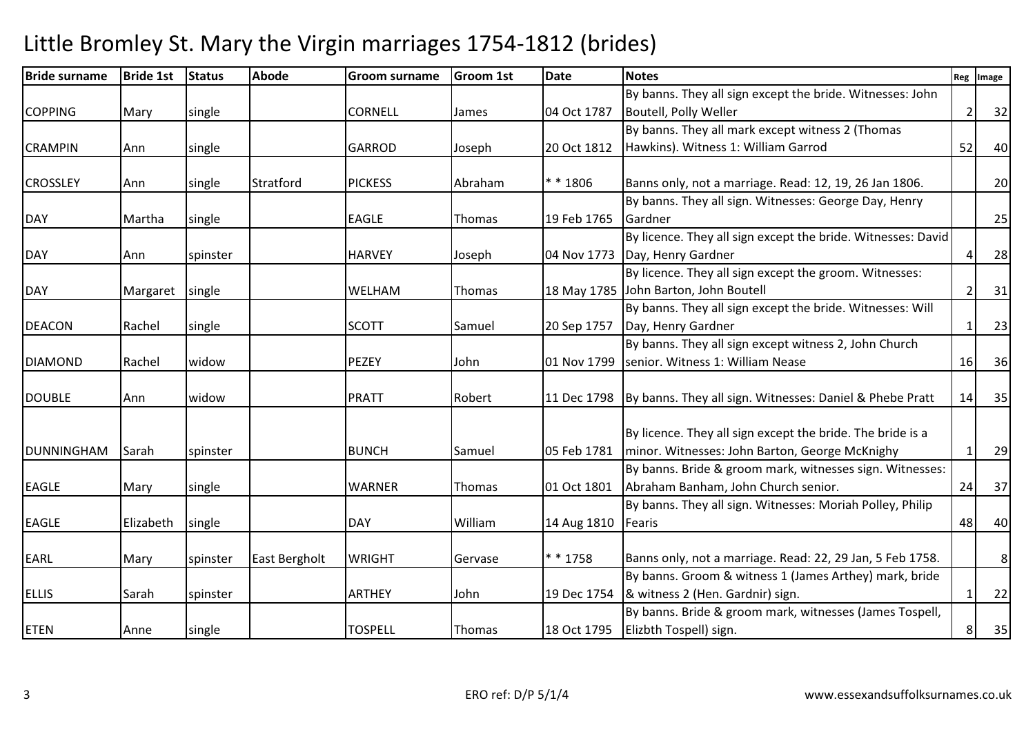| <b>Bride surname</b> | <b>Bride 1st</b> | <b>Status</b> | <b>Abode</b>  | <b>Groom surname</b> | <b>Groom 1st</b> | <b>Date</b>          | <b>Notes</b>                                                           |                | Reg Image |
|----------------------|------------------|---------------|---------------|----------------------|------------------|----------------------|------------------------------------------------------------------------|----------------|-----------|
|                      |                  |               |               |                      |                  |                      | By banns. They all sign except the bride. Witnesses: John              |                |           |
| <b>COPPING</b>       | Mary             | single        |               | <b>CORNELL</b>       | James            | 04 Oct 1787          | Boutell, Polly Weller                                                  | $\overline{2}$ | 32        |
|                      |                  |               |               |                      |                  |                      | By banns. They all mark except witness 2 (Thomas                       |                |           |
| <b>CRAMPIN</b>       | Ann              | single        |               | <b>GARROD</b>        | Joseph           | 20 Oct 1812          | Hawkins). Witness 1: William Garrod                                    | 52             | 40        |
| <b>CROSSLEY</b>      | Ann              | single        | Stratford     | <b>PICKESS</b>       | Abraham          | ** 1806              | Banns only, not a marriage. Read: 12, 19, 26 Jan 1806.                 |                | 20        |
|                      |                  |               |               |                      |                  |                      | By banns. They all sign. Witnesses: George Day, Henry                  |                |           |
| <b>DAY</b>           | Martha           | single        |               | <b>EAGLE</b>         | Thomas           | 19 Feb 1765          | Gardner                                                                |                | 25        |
|                      |                  |               |               |                      |                  |                      | By licence. They all sign except the bride. Witnesses: David           |                |           |
| <b>DAY</b>           | Ann              | spinster      |               | <b>HARVEY</b>        | Joseph           |                      | 04 Nov 1773 Day, Henry Gardner                                         | Δ              | 28        |
|                      |                  |               |               |                      |                  |                      | By licence. They all sign except the groom. Witnesses:                 |                |           |
| <b>DAY</b>           | Margaret         | single        |               | WELHAM               | Thomas           |                      | 18 May 1785 John Barton, John Boutell                                  |                | 31        |
|                      |                  |               |               |                      |                  |                      | By banns. They all sign except the bride. Witnesses: Will              |                |           |
| <b>DEACON</b>        | Rachel           | single        |               | <b>SCOTT</b>         | Samuel           | 20 Sep 1757          | Day, Henry Gardner                                                     |                | 23        |
|                      |                  |               |               |                      |                  |                      | By banns. They all sign except witness 2, John Church                  |                |           |
| <b>DIAMOND</b>       | Rachel           | widow         |               | <b>PEZEY</b>         | John             | 01 Nov 1799          | senior. Witness 1: William Nease                                       | 16             | 36        |
| <b>DOUBLE</b>        | Ann              | widow         |               | <b>PRATT</b>         | Robert           |                      | 11 Dec 1798   By banns. They all sign. Witnesses: Daniel & Phebe Pratt | 14             | 35        |
|                      |                  |               |               |                      |                  |                      |                                                                        |                |           |
|                      |                  |               |               |                      |                  |                      | By licence. They all sign except the bride. The bride is a             |                |           |
| <b>DUNNINGHAM</b>    | Sarah            | spinster      |               | <b>BUNCH</b>         | Samuel           | 05 Feb 1781          | minor. Witnesses: John Barton, George McKnighy                         |                | 29        |
|                      |                  |               |               |                      |                  |                      | By banns. Bride & groom mark, witnesses sign. Witnesses:               |                |           |
| <b>EAGLE</b>         | Mary             | single        |               | <b>WARNER</b>        | Thomas           | 01 Oct 1801          | Abraham Banham, John Church senior.                                    | 24             | 37        |
|                      |                  |               |               |                      |                  |                      | By banns. They all sign. Witnesses: Moriah Polley, Philip              |                |           |
| <b>EAGLE</b>         | Elizabeth        | single        |               | <b>DAY</b>           | William          | 14 Aug 1810   Fearis |                                                                        | 48             | 40        |
| <b>EARL</b>          | Mary             | spinster      | East Bergholt | <b>WRIGHT</b>        | Gervase          | * * 1758             | Banns only, not a marriage. Read: 22, 29 Jan, 5 Feb 1758.              |                | 8         |
|                      |                  |               |               |                      |                  |                      | By banns. Groom & witness 1 (James Arthey) mark, bride                 |                |           |
| <b>ELLIS</b>         | Sarah            | spinster      |               | <b>ARTHEY</b>        | John             |                      | 19 Dec 1754  & witness 2 (Hen. Gardnir) sign.                          | 1              | 22        |
|                      |                  |               |               |                      |                  |                      | By banns. Bride & groom mark, witnesses (James Tospell,                |                |           |
| <b>ETEN</b>          | Anne             | single        |               | <b>TOSPELL</b>       | Thomas           |                      | 18 Oct 1795   Elizbth Tospell) sign.                                   | 8              | 35        |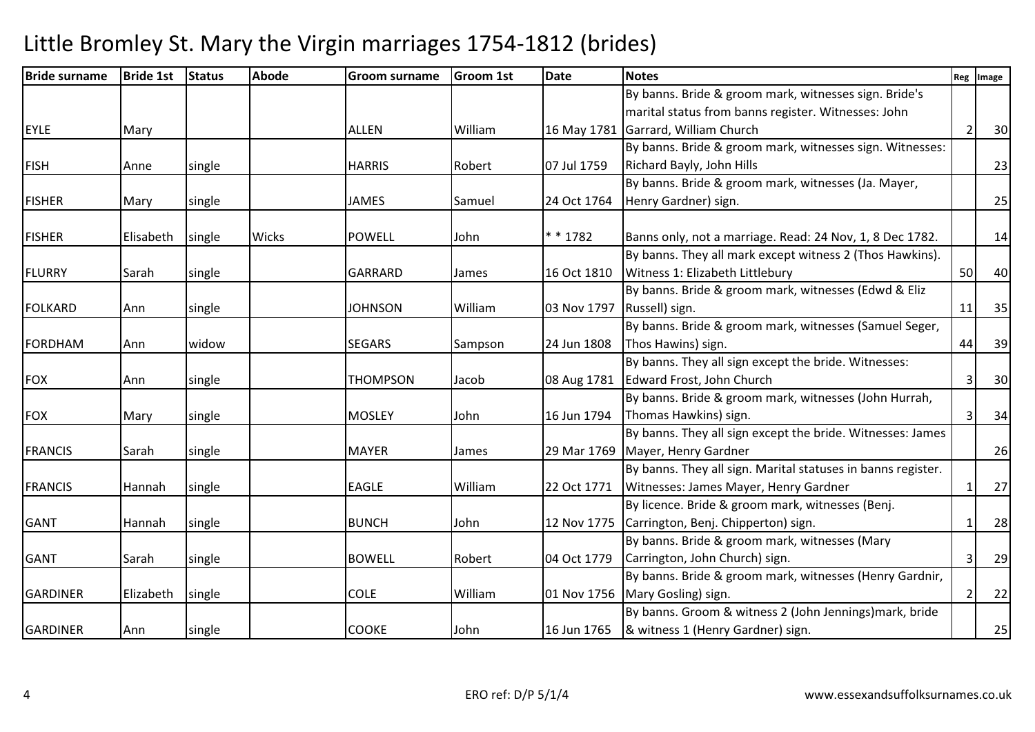| <b>Bride surname</b> | <b>Bride 1st</b> | <b>Status</b> | <b>Abode</b> | <b>Groom surname</b> | <b>Groom 1st</b> | <b>Date</b>                | <b>Notes</b>                                                 | Reg            | Image |
|----------------------|------------------|---------------|--------------|----------------------|------------------|----------------------------|--------------------------------------------------------------|----------------|-------|
|                      |                  |               |              |                      |                  |                            | By banns. Bride & groom mark, witnesses sign. Bride's        |                |       |
|                      |                  |               |              |                      |                  |                            | marital status from banns register. Witnesses: John          |                |       |
| <b>EYLE</b>          | Mary             |               |              | <b>ALLEN</b>         | William          |                            | 16 May 1781 Garrard, William Church                          | $\overline{2}$ | 30    |
|                      |                  |               |              |                      |                  |                            | By banns. Bride & groom mark, witnesses sign. Witnesses:     |                |       |
| <b>FISH</b>          | Anne             | single        |              | <b>HARRIS</b>        | Robert           | 07 Jul 1759                | Richard Bayly, John Hills                                    |                | 23    |
|                      |                  |               |              |                      |                  |                            | By banns. Bride & groom mark, witnesses (Ja. Mayer,          |                |       |
| <b>FISHER</b>        | Mary             | single        |              | JAMES                | Samuel           | 24 Oct 1764                | Henry Gardner) sign.                                         |                | 25    |
|                      |                  |               |              |                      |                  |                            |                                                              |                |       |
| <b>FISHER</b>        | Elisabeth        | single        | Wicks        | <b>POWELL</b>        | John             | * * 1782                   | Banns only, not a marriage. Read: 24 Nov, 1, 8 Dec 1782.     |                | 14    |
|                      |                  |               |              |                      |                  |                            | By banns. They all mark except witness 2 (Thos Hawkins).     |                |       |
| FLURRY               | Sarah            | single        |              | <b>GARRARD</b>       | James            | 16 Oct 1810                | Witness 1: Elizabeth Littlebury                              | 50             | 40    |
|                      |                  |               |              |                      |                  |                            | By banns. Bride & groom mark, witnesses (Edwd & Eliz         |                |       |
| <b>FOLKARD</b>       | Ann              | single        |              | <b>JOHNSON</b>       | William          | 03 Nov 1797 Russell) sign. |                                                              | 11             | 35    |
|                      |                  |               |              |                      |                  |                            | By banns. Bride & groom mark, witnesses (Samuel Seger,       |                |       |
| FORDHAM              | Ann              | widow         |              | <b>SEGARS</b>        | Sampson          | 24 Jun 1808                | Thos Hawins) sign.                                           | 44             | 39    |
|                      |                  |               |              |                      |                  |                            | By banns. They all sign except the bride. Witnesses:         |                |       |
| <b>FOX</b>           | Ann              | single        |              | <b>THOMPSON</b>      | Jacob            |                            | 08 Aug 1781   Edward Frost, John Church                      | Э              | 30    |
|                      |                  |               |              |                      |                  |                            | By banns. Bride & groom mark, witnesses (John Hurrah,        |                |       |
| <b>FOX</b>           | Mary             | single        |              | <b>MOSLEY</b>        | John             | 16 Jun 1794                | Thomas Hawkins) sign.                                        | 3              | 34    |
|                      |                  |               |              |                      |                  |                            | By banns. They all sign except the bride. Witnesses: James   |                |       |
| <b>FRANCIS</b>       | Sarah            | single        |              | <b>MAYER</b>         | James            |                            | 29 Mar 1769 Mayer, Henry Gardner                             |                | 26    |
|                      |                  |               |              |                      |                  |                            | By banns. They all sign. Marital statuses in banns register. |                |       |
| <b>FRANCIS</b>       | Hannah           | single        |              | <b>EAGLE</b>         | William          | 22 Oct 1771                | Witnesses: James Mayer, Henry Gardner                        |                | 27    |
|                      |                  |               |              |                      |                  |                            | By licence. Bride & groom mark, witnesses (Benj.             |                |       |
| <b>GANT</b>          | Hannah           | single        |              | <b>BUNCH</b>         | John             |                            | 12 Nov 1775 Carrington, Benj. Chipperton) sign.              |                | 28    |
|                      |                  |               |              |                      |                  |                            | By banns. Bride & groom mark, witnesses (Mary                |                |       |
| <b>GANT</b>          | Sarah            | single        |              | <b>BOWELL</b>        | Robert           | 04 Oct 1779                | Carrington, John Church) sign.                               | 3              | 29    |
|                      |                  |               |              |                      |                  |                            | By banns. Bride & groom mark, witnesses (Henry Gardnir,      |                |       |
| <b>GARDINER</b>      | Elizabeth        | single        |              | <b>COLE</b>          | William          |                            | 01 Nov 1756 Mary Gosling) sign.                              | $\overline{2}$ | 22    |
|                      |                  |               |              |                      |                  |                            | By banns. Groom & witness 2 (John Jennings) mark, bride      |                |       |
| <b>GARDINER</b>      | Ann              | single        |              | <b>COOKE</b>         | John             |                            | 16 Jun 1765  & witness 1 (Henry Gardner) sign.               |                | 25    |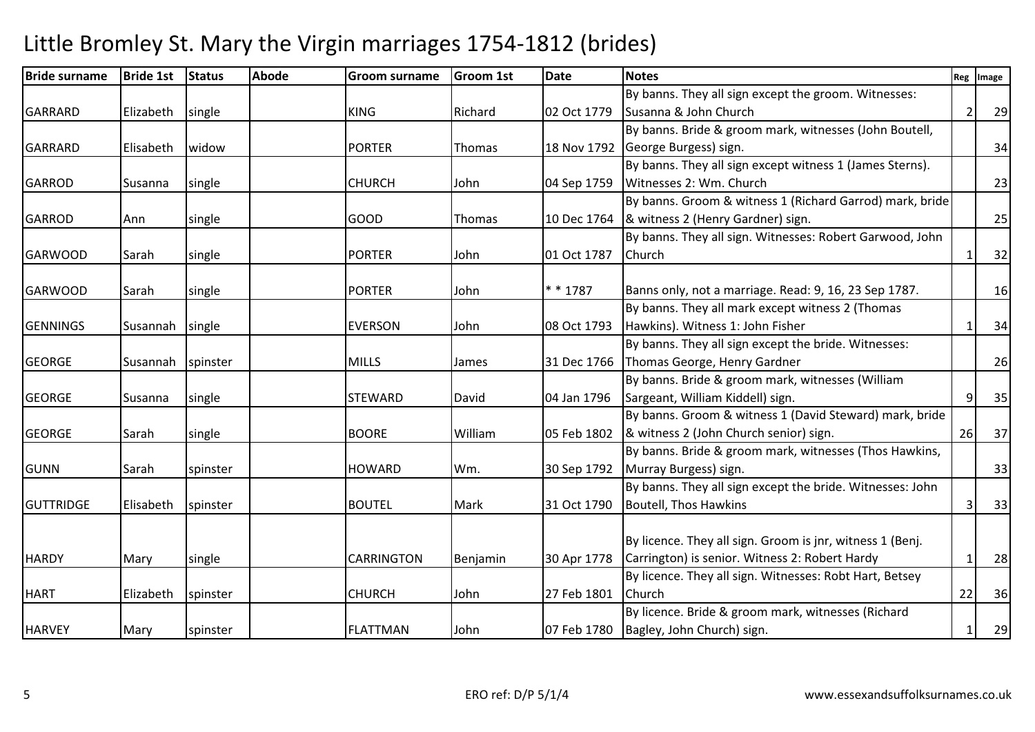| <b>Bride surname</b> | <b>Bride 1st</b> | <b>Status</b> | <b>Abode</b> | <b>Groom surname</b> | <b>Groom 1st</b> | <b>Date</b> | <b>Notes</b>                                              | Reg            | Image |
|----------------------|------------------|---------------|--------------|----------------------|------------------|-------------|-----------------------------------------------------------|----------------|-------|
|                      |                  |               |              |                      |                  |             | By banns. They all sign except the groom. Witnesses:      |                |       |
| <b>GARRARD</b>       | Elizabeth        | single        |              | <b>KING</b>          | Richard          | 02 Oct 1779 | Susanna & John Church                                     | $\overline{2}$ | 29    |
|                      |                  |               |              |                      |                  |             | By banns. Bride & groom mark, witnesses (John Boutell,    |                |       |
| <b>GARRARD</b>       | Elisabeth        | widow         |              | <b>PORTER</b>        | Thomas           |             | 18 Nov 1792 George Burgess) sign.                         |                | 34    |
|                      |                  |               |              |                      |                  |             | By banns. They all sign except witness 1 (James Sterns).  |                |       |
| <b>GARROD</b>        | Susanna          | single        |              | <b>CHURCH</b>        | John             | 04 Sep 1759 | Witnesses 2: Wm. Church                                   |                | 23    |
|                      |                  |               |              |                      |                  |             | By banns. Groom & witness 1 (Richard Garrod) mark, bride  |                |       |
| <b>GARROD</b>        | Ann              | single        |              | <b>GOOD</b>          | Thomas           |             | 10 Dec 1764  & witness 2 (Henry Gardner) sign.            |                | 25    |
|                      |                  |               |              |                      |                  |             | By banns. They all sign. Witnesses: Robert Garwood, John  |                |       |
| <b>GARWOOD</b>       | Sarah            | single        |              | <b>PORTER</b>        | John             | 01 Oct 1787 | <b>Church</b>                                             |                | 32    |
|                      |                  |               |              |                      |                  |             |                                                           |                |       |
| <b>GARWOOD</b>       | Sarah            | single        |              | <b>PORTER</b>        | John             | $* * 1787$  | Banns only, not a marriage. Read: 9, 16, 23 Sep 1787.     |                | 16    |
|                      |                  |               |              |                      |                  |             | By banns. They all mark except witness 2 (Thomas          |                |       |
| <b>GENNINGS</b>      | Susannah         | single        |              | <b>EVERSON</b>       | John             | 08 Oct 1793 | Hawkins). Witness 1: John Fisher                          |                | 34    |
|                      |                  |               |              |                      |                  |             | By banns. They all sign except the bride. Witnesses:      |                |       |
| <b>GEORGE</b>        | Susannah         | spinster      |              | <b>MILLS</b>         | James            | 31 Dec 1766 | Thomas George, Henry Gardner                              |                | 26    |
|                      |                  |               |              |                      |                  |             | By banns. Bride & groom mark, witnesses (William          |                |       |
| <b>GEORGE</b>        | Susanna          | single        |              | <b>STEWARD</b>       | David            | 04 Jan 1796 | Sargeant, William Kiddell) sign.                          | 9              | 35    |
|                      |                  |               |              |                      |                  |             | By banns. Groom & witness 1 (David Steward) mark, bride   |                |       |
| <b>GEORGE</b>        | Sarah            | single        |              | <b>BOORE</b>         | William          |             | 05 Feb 1802  & witness 2 (John Church senior) sign.       | 26             | 37    |
|                      |                  |               |              |                      |                  |             | By banns. Bride & groom mark, witnesses (Thos Hawkins,    |                |       |
| <b>GUNN</b>          | Sarah            | spinster      |              | <b>HOWARD</b>        | Wm.              |             | 30 Sep 1792   Murray Burgess) sign.                       |                | 33    |
|                      |                  |               |              |                      |                  |             | By banns. They all sign except the bride. Witnesses: John |                |       |
| <b>GUTTRIDGE</b>     | Elisabeth        | spinster      |              | <b>BOUTEL</b>        | Mark             | 31 Oct 1790 | Boutell, Thos Hawkins                                     |                | 33    |
|                      |                  |               |              |                      |                  |             |                                                           |                |       |
|                      |                  |               |              |                      |                  |             | By licence. They all sign. Groom is jnr, witness 1 (Benj. |                |       |
| <b>HARDY</b>         | Mary             | single        |              | <b>CARRINGTON</b>    | Benjamin         | 30 Apr 1778 | Carrington) is senior. Witness 2: Robert Hardy            | $\mathbf{1}$   | 28    |
|                      |                  |               |              |                      |                  |             | By licence. They all sign. Witnesses: Robt Hart, Betsey   |                |       |
| <b>HART</b>          | Elizabeth        | spinster      |              | <b>CHURCH</b>        | John             | 27 Feb 1801 | Church                                                    | 22             | 36    |
|                      |                  |               |              |                      |                  |             | By licence. Bride & groom mark, witnesses (Richard        |                |       |
| <b>HARVEY</b>        | Mary             | spinster      |              | <b>FLATTMAN</b>      | John             |             | 07 Feb 1780   Bagley, John Church) sign.                  |                | 29    |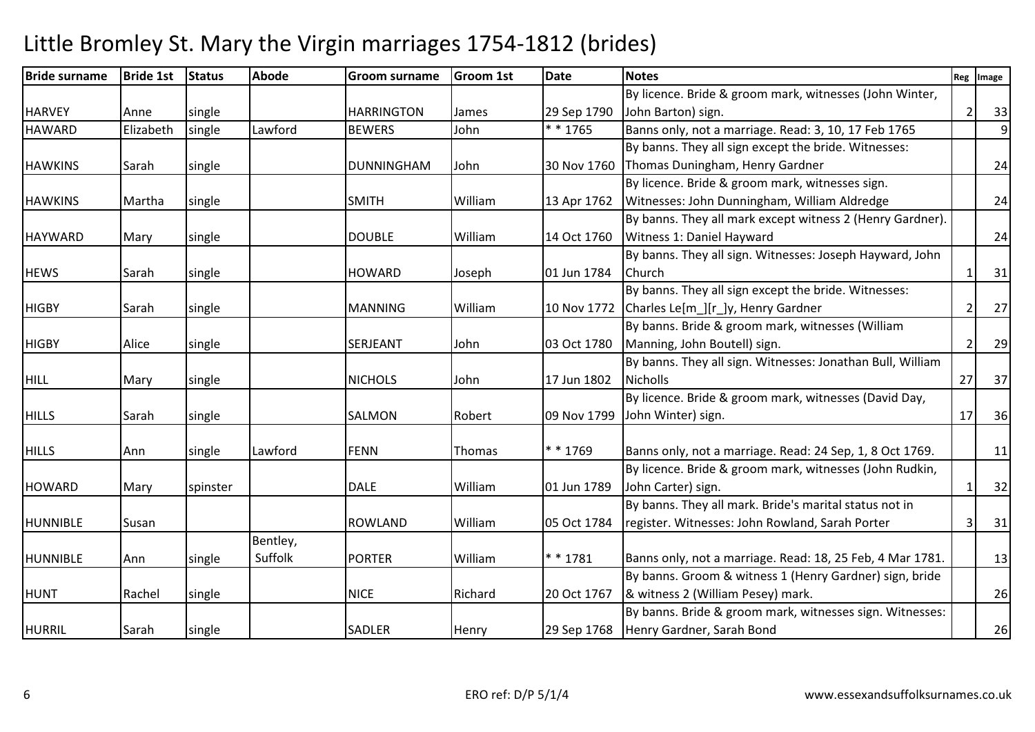| <b>Bride surname</b> | <b>Bride 1st</b> | <b>Status</b> | <b>Abode</b> | <b>Groom surname</b> | <b>Groom 1st</b> | <b>Date</b> | <b>Notes</b>                                               |                          | Reg Image |
|----------------------|------------------|---------------|--------------|----------------------|------------------|-------------|------------------------------------------------------------|--------------------------|-----------|
|                      |                  |               |              |                      |                  |             | By licence. Bride & groom mark, witnesses (John Winter,    |                          |           |
| <b>HARVEY</b>        | Anne             | single        |              | <b>HARRINGTON</b>    | James            | 29 Sep 1790 | John Barton) sign.                                         | $\overline{\mathcal{L}}$ | 33        |
| <b>HAWARD</b>        | Elizabeth        | single        | Lawford      | <b>BEWERS</b>        | John             | * * 1765    | Banns only, not a marriage. Read: 3, 10, 17 Feb 1765       |                          | 9         |
|                      |                  |               |              |                      |                  |             | By banns. They all sign except the bride. Witnesses:       |                          |           |
| <b>HAWKINS</b>       | Sarah            | single        |              | <b>DUNNINGHAM</b>    | John             |             | 30 Nov 1760 Thomas Duningham, Henry Gardner                |                          | 24        |
|                      |                  |               |              |                      |                  |             | By licence. Bride & groom mark, witnesses sign.            |                          |           |
| <b>HAWKINS</b>       | Martha           | single        |              | <b>SMITH</b>         | William          | 13 Apr 1762 | Witnesses: John Dunningham, William Aldredge               |                          | 24        |
|                      |                  |               |              |                      |                  |             | By banns. They all mark except witness 2 (Henry Gardner).  |                          |           |
| <b>HAYWARD</b>       | Mary             | single        |              | <b>DOUBLE</b>        | William          | 14 Oct 1760 | Witness 1: Daniel Hayward                                  |                          | 24        |
|                      |                  |               |              |                      |                  |             | By banns. They all sign. Witnesses: Joseph Hayward, John   |                          |           |
| <b>HEWS</b>          | Sarah            | single        |              | <b>HOWARD</b>        | Joseph           | 01 Jun 1784 | <b>Church</b>                                              |                          | 31        |
|                      |                  |               |              |                      |                  |             | By banns. They all sign except the bride. Witnesses:       |                          |           |
| <b>HIGBY</b>         | Sarah            | single        |              | <b>MANNING</b>       | William          |             | 10 Nov 1772 Charles Le[m_][r_]y, Henry Gardner             | 2                        | 27        |
|                      |                  |               |              |                      |                  |             | By banns. Bride & groom mark, witnesses (William           |                          |           |
| <b>HIGBY</b>         | Alice            | single        |              | SERJEANT             | John             | 03 Oct 1780 | Manning, John Boutell) sign.                               | 2                        | 29        |
|                      |                  |               |              |                      |                  |             | By banns. They all sign. Witnesses: Jonathan Bull, William |                          |           |
| <b>HILL</b>          | Mary             | single        |              | <b>NICHOLS</b>       | John             | 17 Jun 1802 | <b>Nicholls</b>                                            | 27                       | 37        |
|                      |                  |               |              |                      |                  |             | By licence. Bride & groom mark, witnesses (David Day,      |                          |           |
| <b>HILLS</b>         | Sarah            | single        |              | SALMON               | Robert           | 09 Nov 1799 | John Winter) sign.                                         | 17                       | 36        |
|                      |                  |               |              |                      |                  |             |                                                            |                          |           |
| <b>HILLS</b>         | Ann              | single        | Lawford      | <b>FENN</b>          | Thomas           | * * 1769    | Banns only, not a marriage. Read: 24 Sep, 1, 8 Oct 1769.   |                          | 11        |
|                      |                  |               |              |                      |                  |             | By licence. Bride & groom mark, witnesses (John Rudkin,    |                          |           |
| <b>HOWARD</b>        | Mary             | spinster      |              | <b>DALE</b>          | William          | 01 Jun 1789 | John Carter) sign.                                         | -1                       | 32        |
|                      |                  |               |              |                      |                  |             | By banns. They all mark. Bride's marital status not in     |                          |           |
| <b>HUNNIBLE</b>      | Susan            |               |              | <b>ROWLAND</b>       | William          | 05 Oct 1784 | register. Witnesses: John Rowland, Sarah Porter            | 3                        | 31        |
|                      |                  |               | Bentley,     |                      |                  |             |                                                            |                          |           |
| <b>HUNNIBLE</b>      | Ann              | single        | Suffolk      | <b>PORTER</b>        | William          | $* * 1781$  | Banns only, not a marriage. Read: 18, 25 Feb, 4 Mar 1781.  |                          | 13        |
|                      |                  |               |              |                      |                  |             | By banns. Groom & witness 1 (Henry Gardner) sign, bride    |                          |           |
| <b>HUNT</b>          | Rachel           | single        |              | <b>NICE</b>          | Richard          | 20 Oct 1767 | & witness 2 (William Pesey) mark.                          |                          | 26        |
|                      |                  |               |              |                      |                  |             | By banns. Bride & groom mark, witnesses sign. Witnesses:   |                          |           |
| <b>HURRIL</b>        | Sarah            | single        |              | <b>SADLER</b>        | Henry            |             | 29 Sep 1768   Henry Gardner, Sarah Bond                    |                          | 26        |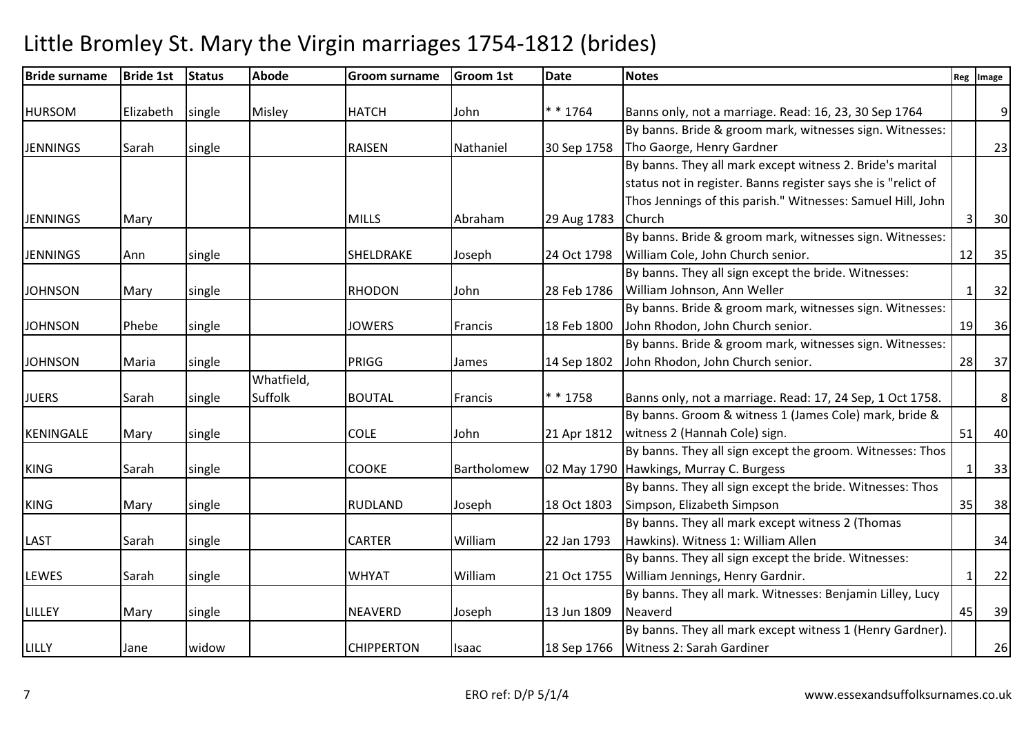| <b>Bride surname</b> | <b>Bride 1st</b> | <b>Status</b> | <b>Abode</b> | <b>Groom surname</b> | Groom 1st   | Date        | <b>Notes</b>                                                  |              | Reg Image |
|----------------------|------------------|---------------|--------------|----------------------|-------------|-------------|---------------------------------------------------------------|--------------|-----------|
|                      |                  |               |              |                      |             | $* * 1764$  |                                                               |              |           |
| <b>HURSOM</b>        | Elizabeth        | single        | Misley       | <b>HATCH</b>         | John        |             | Banns only, not a marriage. Read: 16, 23, 30 Sep 1764         |              | 9         |
|                      |                  |               |              |                      |             |             | By banns. Bride & groom mark, witnesses sign. Witnesses:      |              |           |
| <b>JENNINGS</b>      | Sarah            | single        |              | <b>RAISEN</b>        | Nathaniel   | 30 Sep 1758 | Tho Gaorge, Henry Gardner                                     |              | 23        |
|                      |                  |               |              |                      |             |             | By banns. They all mark except witness 2. Bride's marital     |              |           |
|                      |                  |               |              |                      |             |             | status not in register. Banns register says she is "relict of |              |           |
|                      |                  |               |              |                      |             |             | Thos Jennings of this parish." Witnesses: Samuel Hill, John   |              |           |
| <b>JENNINGS</b>      | Mary             |               |              | <b>MILLS</b>         | Abraham     | 29 Aug 1783 | Church                                                        | 3            | 30        |
|                      |                  |               |              |                      |             |             | By banns. Bride & groom mark, witnesses sign. Witnesses:      |              |           |
| <b>JENNINGS</b>      | Ann              | single        |              | <b>SHELDRAKE</b>     | Joseph      | 24 Oct 1798 | William Cole, John Church senior.                             | 12           | 35        |
|                      |                  |               |              |                      |             |             | By banns. They all sign except the bride. Witnesses:          |              |           |
| <b>JOHNSON</b>       | Mary             | single        |              | <b>RHODON</b>        | John        | 28 Feb 1786 | William Johnson, Ann Weller                                   | $\mathbf{1}$ | 32        |
|                      |                  |               |              |                      |             |             | By banns. Bride & groom mark, witnesses sign. Witnesses:      |              |           |
| <b>JOHNSON</b>       | Phebe            | single        |              | <b>JOWERS</b>        | Francis     | 18 Feb 1800 | John Rhodon, John Church senior.                              | 19           | 36        |
|                      |                  |               |              |                      |             |             | By banns. Bride & groom mark, witnesses sign. Witnesses:      |              |           |
| <b>JOHNSON</b>       | Maria            | single        |              | PRIGG                | James       | 14 Sep 1802 | John Rhodon, John Church senior.                              | 28           | 37        |
|                      |                  |               | Whatfield,   |                      |             |             |                                                               |              |           |
| <b>JUERS</b>         | Sarah            | single        | Suffolk      | <b>BOUTAL</b>        | Francis     | * * 1758    | Banns only, not a marriage. Read: 17, 24 Sep, 1 Oct 1758.     |              | 8         |
|                      |                  |               |              |                      |             |             | By banns. Groom & witness 1 (James Cole) mark, bride &        |              |           |
| <b>KENINGALE</b>     | Mary             | single        |              | <b>COLE</b>          | John        | 21 Apr 1812 | witness 2 (Hannah Cole) sign.                                 | 51           | 40        |
|                      |                  |               |              |                      |             |             | By banns. They all sign except the groom. Witnesses: Thos     |              |           |
| <b>KING</b>          | Sarah            | single        |              | <b>COOKE</b>         | Bartholomew |             | 02 May 1790 Hawkings, Murray C. Burgess                       | 1            | 33        |
|                      |                  |               |              |                      |             |             | By banns. They all sign except the bride. Witnesses: Thos     |              |           |
| <b>KING</b>          | Mary             | single        |              | <b>RUDLAND</b>       | Joseph      | 18 Oct 1803 | Simpson, Elizabeth Simpson                                    | 35           | 38        |
|                      |                  |               |              |                      |             |             | By banns. They all mark except witness 2 (Thomas              |              |           |
| LAST                 | Sarah            | single        |              | <b>CARTER</b>        | William     | 22 Jan 1793 | Hawkins). Witness 1: William Allen                            |              | 34        |
|                      |                  |               |              |                      |             |             | By banns. They all sign except the bride. Witnesses:          |              |           |
|                      |                  |               |              | <b>WHYAT</b>         |             |             |                                                               |              |           |
| <b>LEWES</b>         | Sarah            | single        |              |                      | William     | 21 Oct 1755 | William Jennings, Henry Gardnir.                              | 1            | 22        |
|                      |                  |               |              |                      |             |             | By banns. They all mark. Witnesses: Benjamin Lilley, Lucy     |              |           |
| LILLEY               | Mary             | single        |              | <b>NEAVERD</b>       | Joseph      | 13 Jun 1809 | Neaverd                                                       | 45           | 39        |
|                      |                  |               |              |                      |             |             | By banns. They all mark except witness 1 (Henry Gardner).     |              |           |
| LILLY                | Jane             | widow         |              | <b>CHIPPERTON</b>    | Isaac       | 18 Sep 1766 | Witness 2: Sarah Gardiner                                     |              | 26        |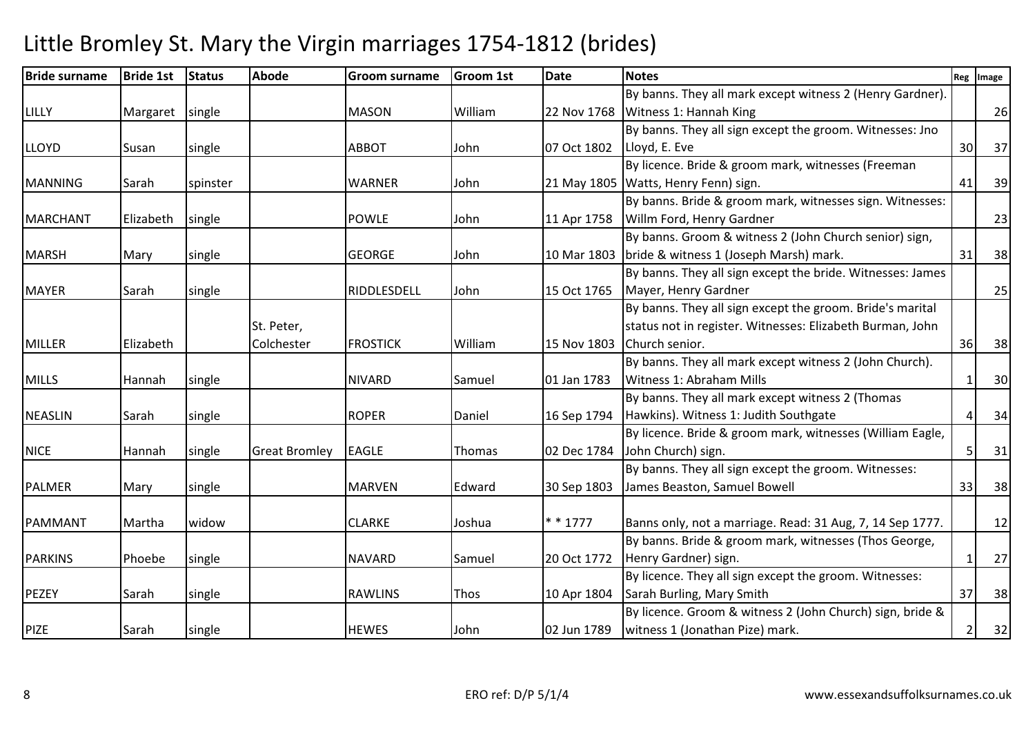| <b>Bride surname</b> | <b>Bride 1st</b> | <b>Status</b> | <b>Abode</b>         | <b>Groom surname</b> | <b>Groom 1st</b> | <b>Date</b> | <b>Notes</b>                                               | Reg       | Image |
|----------------------|------------------|---------------|----------------------|----------------------|------------------|-------------|------------------------------------------------------------|-----------|-------|
|                      |                  |               |                      |                      |                  |             | By banns. They all mark except witness 2 (Henry Gardner).  |           |       |
| LILLY                | Margaret         | single        |                      | <b>MASON</b>         | William          |             | 22 Nov 1768   Witness 1: Hannah King                       |           | 26    |
|                      |                  |               |                      |                      |                  |             | By banns. They all sign except the groom. Witnesses: Jno   |           |       |
| <b>LLOYD</b>         | Susan            | single        |                      | <b>ABBOT</b>         | John             | 07 Oct 1802 | Lloyd, E. Eve                                              | 30        | 37    |
|                      |                  |               |                      |                      |                  |             | By licence. Bride & groom mark, witnesses (Freeman         |           |       |
| <b>MANNING</b>       | Sarah            | spinster      |                      | <b>WARNER</b>        | John             |             | 21 May 1805   Watts, Henry Fenn) sign.                     | 41        | 39    |
|                      |                  |               |                      |                      |                  |             | By banns. Bride & groom mark, witnesses sign. Witnesses:   |           |       |
| <b>MARCHANT</b>      | Elizabeth        | single        |                      | <b>POWLE</b>         | John             | 11 Apr 1758 | Willm Ford, Henry Gardner                                  |           | 23    |
|                      |                  |               |                      |                      |                  |             | By banns. Groom & witness 2 (John Church senior) sign,     |           |       |
| <b>MARSH</b>         | Mary             | single        |                      | <b>GEORGE</b>        | John             |             | 10 Mar 1803 bride & witness 1 (Joseph Marsh) mark.         | 31        | 38    |
|                      |                  |               |                      |                      |                  |             | By banns. They all sign except the bride. Witnesses: James |           |       |
| <b>MAYER</b>         | Sarah            | single        |                      | RIDDLESDELL          | John             | 15 Oct 1765 | Mayer, Henry Gardner                                       |           | 25    |
|                      |                  |               |                      |                      |                  |             | By banns. They all sign except the groom. Bride's marital  |           |       |
|                      |                  |               | St. Peter,           |                      |                  |             | status not in register. Witnesses: Elizabeth Burman, John  |           |       |
| <b>MILLER</b>        | Elizabeth        |               | Colchester           | <b>FROSTICK</b>      | William          | 15 Nov 1803 | Church senior.                                             | 36        | 38    |
|                      |                  |               |                      |                      |                  |             | By banns. They all mark except witness 2 (John Church).    |           |       |
| <b>MILLS</b>         | Hannah           | single        |                      | <b>NIVARD</b>        | Samuel           | 01 Jan 1783 | Witness 1: Abraham Mills                                   | -1        | 30    |
|                      |                  |               |                      |                      |                  |             | By banns. They all mark except witness 2 (Thomas           |           |       |
| <b>NEASLIN</b>       | Sarah            | single        |                      | <b>ROPER</b>         | Daniel           |             | 16 Sep 1794   Hawkins). Witness 1: Judith Southgate        | $\Lambda$ | 34    |
|                      |                  |               |                      |                      |                  |             | By licence. Bride & groom mark, witnesses (William Eagle,  |           |       |
| <b>NICE</b>          | Hannah           | single        | <b>Great Bromley</b> | <b>EAGLE</b>         | Thomas           | 02 Dec 1784 | John Church) sign.                                         | 5         | 31    |
|                      |                  |               |                      |                      |                  |             | By banns. They all sign except the groom. Witnesses:       |           |       |
| <b>PALMER</b>        | Mary             | single        |                      | <b>MARVEN</b>        | Edward           | 30 Sep 1803 | James Beaston, Samuel Bowell                               | 33        | 38    |
|                      |                  |               |                      |                      |                  |             |                                                            |           |       |
| PAMMANT              | Martha           | widow         |                      | <b>CLARKE</b>        | Joshua           | $* * 1777$  | Banns only, not a marriage. Read: 31 Aug, 7, 14 Sep 1777.  |           | 12    |
|                      |                  |               |                      |                      |                  |             | By banns. Bride & groom mark, witnesses (Thos George,      |           |       |
| <b>PARKINS</b>       | Phoebe           | single        |                      | <b>NAVARD</b>        | Samuel           | 20 Oct 1772 | Henry Gardner) sign.                                       |           | 27    |
|                      |                  |               |                      |                      |                  |             | By licence. They all sign except the groom. Witnesses:     |           |       |
| PEZEY                | Sarah            | single        |                      | <b>RAWLINS</b>       | Thos             | 10 Apr 1804 | Sarah Burling, Mary Smith                                  | 37        | 38    |
|                      |                  |               |                      |                      |                  |             | By licence. Groom & witness 2 (John Church) sign, bride &  |           |       |
| <b>PIZE</b><br>Sarah |                  |               |                      |                      |                  |             |                                                            |           | 32    |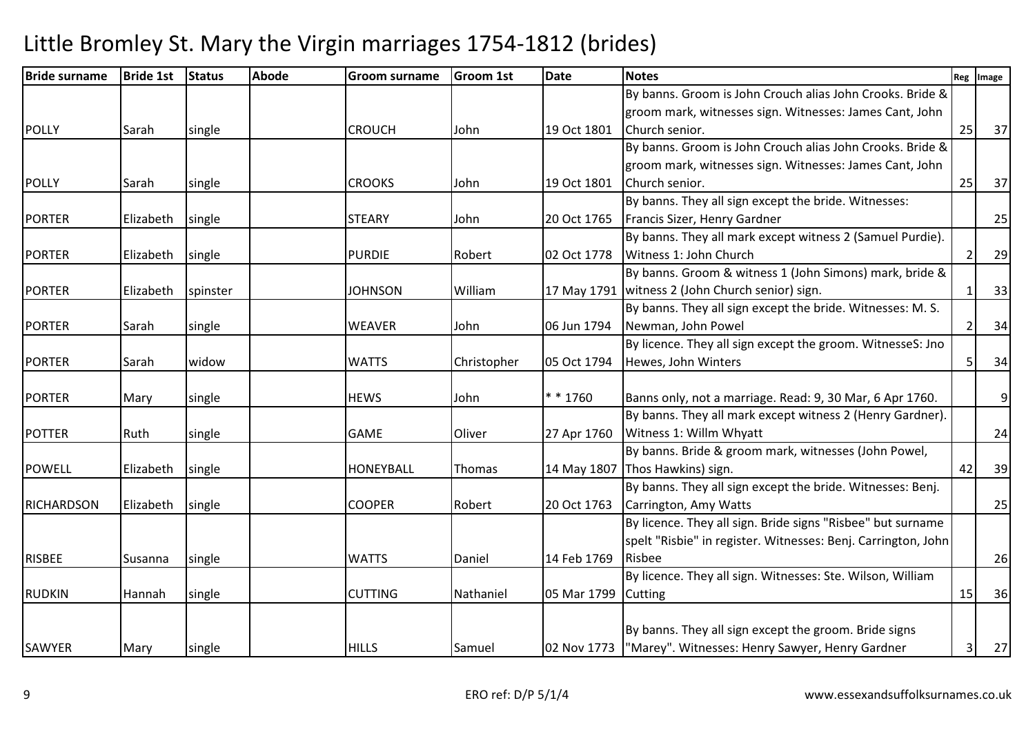| <b>Bride surname</b> | <b>Bride 1st</b> | <b>Status</b> | <b>Abode</b> | <b>Groom surname</b> | <b>Groom 1st</b> | <b>Date</b> | <b>Notes</b>                                                  |                | Reg Image |
|----------------------|------------------|---------------|--------------|----------------------|------------------|-------------|---------------------------------------------------------------|----------------|-----------|
|                      |                  |               |              |                      |                  |             | By banns. Groom is John Crouch alias John Crooks. Bride &     |                |           |
|                      |                  |               |              |                      |                  |             | groom mark, witnesses sign. Witnesses: James Cant, John       |                |           |
| POLLY                | Sarah            | single        |              | <b>CROUCH</b>        | John             | 19 Oct 1801 | Church senior.                                                | 25             | 37        |
|                      |                  |               |              |                      |                  |             | By banns. Groom is John Crouch alias John Crooks. Bride &     |                |           |
|                      |                  |               |              |                      |                  |             | groom mark, witnesses sign. Witnesses: James Cant, John       |                |           |
| <b>POLLY</b>         | Sarah            | single        |              | <b>CROOKS</b>        | John             | 19 Oct 1801 | Church senior.                                                | 25             | 37        |
|                      |                  |               |              |                      |                  |             | By banns. They all sign except the bride. Witnesses:          |                |           |
| <b>PORTER</b>        | Elizabeth        | single        |              | <b>STEARY</b>        | John             | 20 Oct 1765 | Francis Sizer, Henry Gardner                                  |                | 25        |
|                      |                  |               |              |                      |                  |             | By banns. They all mark except witness 2 (Samuel Purdie).     |                |           |
| <b>PORTER</b>        | Elizabeth        | single        |              | <b>PURDIE</b>        | Robert           | 02 Oct 1778 | Witness 1: John Church                                        | 2              | 29        |
|                      |                  |               |              |                      |                  |             | By banns. Groom & witness 1 (John Simons) mark, bride &       |                |           |
| <b>PORTER</b>        | Elizabeth        | spinster      |              | <b>JOHNSON</b>       | William          |             | 17 May 1791   witness 2 (John Church senior) sign.            |                | 33        |
|                      |                  |               |              |                      |                  |             | By banns. They all sign except the bride. Witnesses: M. S.    |                |           |
| <b>PORTER</b>        | Sarah            | single        |              | <b>WEAVER</b>        | John             | 06 Jun 1794 | Newman, John Powel                                            | $\overline{2}$ | 34        |
|                      |                  |               |              |                      |                  |             | By licence. They all sign except the groom. WitnesseS: Jno    |                |           |
| <b>PORTER</b>        | Sarah            | widow         |              | <b>WATTS</b>         | Christopher      | 05 Oct 1794 | Hewes, John Winters                                           | 5              | 34        |
|                      |                  |               |              |                      |                  |             |                                                               |                |           |
| <b>PORTER</b>        | Mary             | single        |              | <b>HEWS</b>          | John             | $* * 1760$  | Banns only, not a marriage. Read: 9, 30 Mar, 6 Apr 1760.      |                | 9         |
|                      |                  |               |              |                      |                  |             | By banns. They all mark except witness 2 (Henry Gardner).     |                |           |
| <b>POTTER</b>        | Ruth             | single        |              | <b>GAME</b>          | Oliver           | 27 Apr 1760 | Witness 1: Willm Whyatt                                       |                | 24        |
|                      |                  |               |              |                      |                  |             | By banns. Bride & groom mark, witnesses (John Powel,          |                |           |
| <b>POWELL</b>        | Elizabeth        | single        |              | <b>HONEYBALL</b>     | Thomas           |             | 14 May 1807   Thos Hawkins) sign.                             | 42             | 39        |
|                      |                  |               |              |                      |                  |             | By banns. They all sign except the bride. Witnesses: Benj.    |                |           |
| <b>RICHARDSON</b>    | Elizabeth        | single        |              | <b>COOPER</b>        | Robert           | 20 Oct 1763 | Carrington, Amy Watts                                         |                | 25        |
|                      |                  |               |              |                      |                  |             | By licence. They all sign. Bride signs "Risbee" but surname   |                |           |
|                      |                  |               |              |                      |                  |             | spelt "Risbie" in register. Witnesses: Benj. Carrington, John |                |           |
| <b>RISBEE</b>        | Susanna          | single        |              | <b>WATTS</b>         | Daniel           | 14 Feb 1769 | Risbee                                                        |                | 26        |
|                      |                  |               |              |                      |                  |             | By licence. They all sign. Witnesses: Ste. Wilson, William    |                |           |
| <b>RUDKIN</b>        | Hannah           | single        |              | <b>CUTTING</b>       | Nathaniel        | 05 Mar 1799 | Cutting                                                       | 15             | 36        |
|                      |                  |               |              |                      |                  |             |                                                               |                |           |
|                      |                  |               |              |                      |                  |             | By banns. They all sign except the groom. Bride signs         |                |           |
| SAWYER               | Mary             | single        |              | <b>HILLS</b>         | Samuel           |             | 02 Nov 1773  "Marey". Witnesses: Henry Sawyer, Henry Gardner  | $\overline{3}$ | 27        |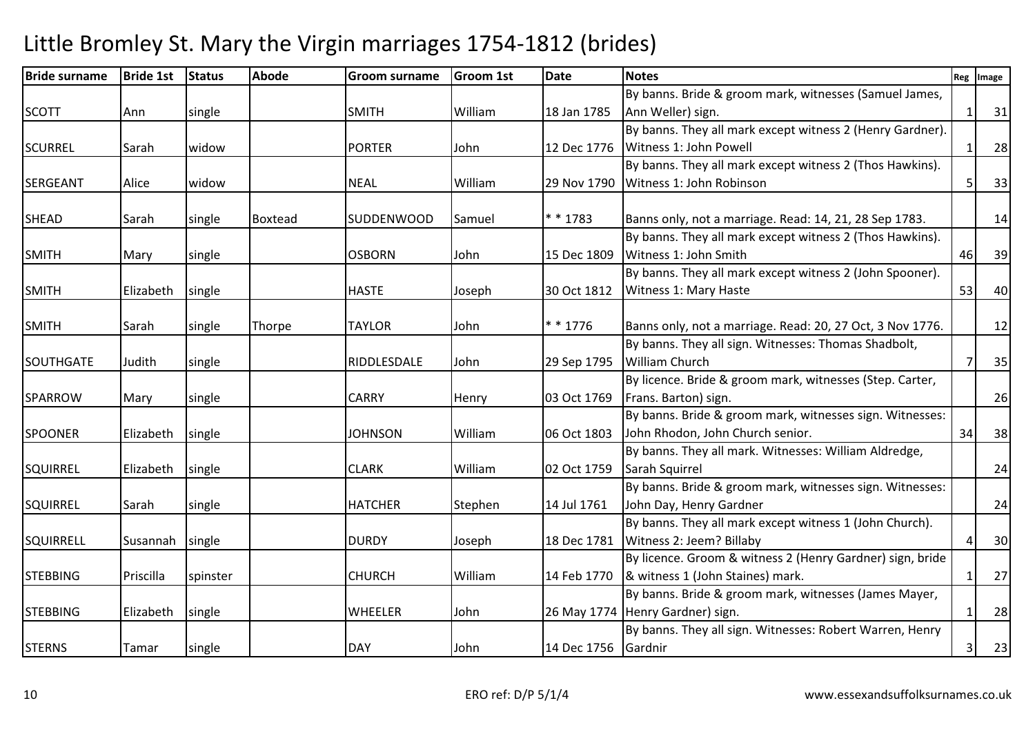| <b>Bride surname</b> | <b>Bride 1st</b> | <b>Status</b> | <b>Abode</b> | <b>Groom surname</b> | <b>Groom 1st</b> | <b>Date</b>         | <b>Notes</b>                                              |    | Reg Image |
|----------------------|------------------|---------------|--------------|----------------------|------------------|---------------------|-----------------------------------------------------------|----|-----------|
|                      |                  |               |              |                      |                  |                     | By banns. Bride & groom mark, witnesses (Samuel James,    |    |           |
| <b>SCOTT</b>         | Ann              | single        |              | <b>SMITH</b>         | William          | 18 Jan 1785         | Ann Weller) sign.                                         |    | 31        |
|                      |                  |               |              |                      |                  |                     | By banns. They all mark except witness 2 (Henry Gardner). |    |           |
| <b>SCURREL</b>       | Sarah            | widow         |              | <b>PORTER</b>        | John             | 12 Dec 1776         | Witness 1: John Powell                                    |    | 28        |
|                      |                  |               |              |                      |                  |                     | By banns. They all mark except witness 2 (Thos Hawkins).  |    |           |
| <b>SERGEANT</b>      | Alice            | widow         |              | <b>NEAL</b>          | William          | 29 Nov 1790         | Witness 1: John Robinson                                  | 5  | 33        |
|                      |                  |               |              |                      |                  |                     |                                                           |    |           |
| <b>SHEAD</b>         | Sarah            | single        | Boxtead      | <b>SUDDENWOOD</b>    | Samuel           | * * 1783            | Banns only, not a marriage. Read: 14, 21, 28 Sep 1783.    |    | 14        |
|                      |                  |               |              |                      |                  |                     | By banns. They all mark except witness 2 (Thos Hawkins).  |    |           |
| <b>SMITH</b>         | Mary             | single        |              | <b>OSBORN</b>        | John             | 15 Dec 1809         | Witness 1: John Smith                                     | 46 | 39        |
|                      |                  |               |              |                      |                  |                     | By banns. They all mark except witness 2 (John Spooner).  |    |           |
| <b>SMITH</b>         | Elizabeth        | single        |              | <b>HASTE</b>         | Joseph           | 30 Oct 1812         | Witness 1: Mary Haste                                     | 53 | 40        |
| <b>SMITH</b>         | Sarah            | single        | Thorpe       | <b>TAYLOR</b>        | John             | $* * 1776$          | Banns only, not a marriage. Read: 20, 27 Oct, 3 Nov 1776. |    | 12        |
|                      |                  |               |              |                      |                  |                     | By banns. They all sign. Witnesses: Thomas Shadbolt,      |    |           |
| <b>SOUTHGATE</b>     | Judith           | single        |              | RIDDLESDALE          | John             | 29 Sep 1795         | <b>William Church</b>                                     |    | 35        |
|                      |                  |               |              |                      |                  |                     | By licence. Bride & groom mark, witnesses (Step. Carter,  |    |           |
| <b>SPARROW</b>       | Mary             | single        |              | <b>CARRY</b>         | Henry            | 03 Oct 1769         | Frans. Barton) sign.                                      |    | 26        |
|                      |                  |               |              |                      |                  |                     | By banns. Bride & groom mark, witnesses sign. Witnesses:  |    |           |
| <b>SPOONER</b>       | Elizabeth        | single        |              | <b>JOHNSON</b>       | William          | 06 Oct 1803         | John Rhodon, John Church senior.                          | 34 | 38        |
|                      |                  |               |              |                      |                  |                     | By banns. They all mark. Witnesses: William Aldredge,     |    |           |
| <b>SQUIRREL</b>      | Elizabeth        | single        |              | <b>CLARK</b>         | William          | 02 Oct 1759         | Sarah Squirrel                                            |    | 24        |
|                      |                  |               |              |                      |                  |                     | By banns. Bride & groom mark, witnesses sign. Witnesses:  |    |           |
| <b>SQUIRREL</b>      | Sarah            | single        |              | <b>HATCHER</b>       | Stephen          | 14 Jul 1761         | John Day, Henry Gardner                                   |    | 24        |
|                      |                  |               |              |                      |                  |                     | By banns. They all mark except witness 1 (John Church).   |    |           |
| SQUIRRELL            | Susannah         | single        |              | <b>DURDY</b>         | Joseph           |                     | 18 Dec 1781 Witness 2: Jeem? Billaby                      |    | 30        |
|                      |                  |               |              |                      |                  |                     | By licence. Groom & witness 2 (Henry Gardner) sign, bride |    |           |
| <b>STEBBING</b>      | Priscilla        | spinster      |              | <b>CHURCH</b>        | William          |                     | 14 Feb 1770  & witness 1 (John Staines) mark.             |    | 27        |
|                      |                  |               |              |                      |                  |                     | By banns. Bride & groom mark, witnesses (James Mayer,     |    |           |
| <b>STEBBING</b>      | Elizabeth        | single        |              | <b>WHEELER</b>       | John             |                     | 26 May 1774 Henry Gardner) sign.                          |    | 28        |
|                      |                  |               |              |                      |                  |                     | By banns. They all sign. Witnesses: Robert Warren, Henry  |    |           |
| <b>STERNS</b>        | Tamar            | single        |              | <b>DAY</b>           | John             | 14 Dec 1756 Gardnir |                                                           | 3  | 23        |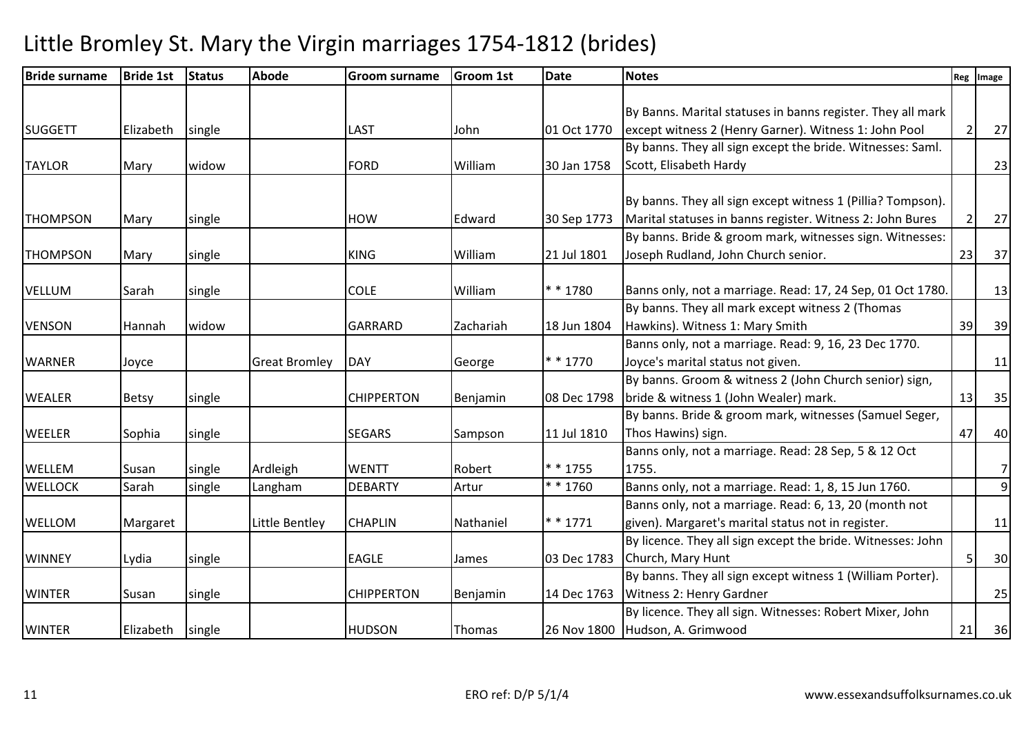| By Banns. Marital statuses in banns register. They all mark<br>except witness 2 (Henry Garner). Witness 1: John Pool<br>By banns. They all sign except the bride. Witnesses: Saml.<br>By banns. They all sign except witness 1 (Pillia? Tompson).<br>Marital statuses in banns register. Witness 2: John Bures<br>By banns. Bride & groom mark, witnesses sign. Witnesses: | 2<br>$\overline{2}$                                                                                                                                                                                                                                                                                                                                                                                                                                                                                                                                                                                                                                    | 27<br>23                                                                                |
|----------------------------------------------------------------------------------------------------------------------------------------------------------------------------------------------------------------------------------------------------------------------------------------------------------------------------------------------------------------------------|--------------------------------------------------------------------------------------------------------------------------------------------------------------------------------------------------------------------------------------------------------------------------------------------------------------------------------------------------------------------------------------------------------------------------------------------------------------------------------------------------------------------------------------------------------------------------------------------------------------------------------------------------------|-----------------------------------------------------------------------------------------|
|                                                                                                                                                                                                                                                                                                                                                                            |                                                                                                                                                                                                                                                                                                                                                                                                                                                                                                                                                                                                                                                        |                                                                                         |
|                                                                                                                                                                                                                                                                                                                                                                            |                                                                                                                                                                                                                                                                                                                                                                                                                                                                                                                                                                                                                                                        |                                                                                         |
|                                                                                                                                                                                                                                                                                                                                                                            |                                                                                                                                                                                                                                                                                                                                                                                                                                                                                                                                                                                                                                                        |                                                                                         |
|                                                                                                                                                                                                                                                                                                                                                                            |                                                                                                                                                                                                                                                                                                                                                                                                                                                                                                                                                                                                                                                        |                                                                                         |
|                                                                                                                                                                                                                                                                                                                                                                            |                                                                                                                                                                                                                                                                                                                                                                                                                                                                                                                                                                                                                                                        |                                                                                         |
|                                                                                                                                                                                                                                                                                                                                                                            |                                                                                                                                                                                                                                                                                                                                                                                                                                                                                                                                                                                                                                                        |                                                                                         |
|                                                                                                                                                                                                                                                                                                                                                                            |                                                                                                                                                                                                                                                                                                                                                                                                                                                                                                                                                                                                                                                        |                                                                                         |
|                                                                                                                                                                                                                                                                                                                                                                            |                                                                                                                                                                                                                                                                                                                                                                                                                                                                                                                                                                                                                                                        | 27                                                                                      |
|                                                                                                                                                                                                                                                                                                                                                                            |                                                                                                                                                                                                                                                                                                                                                                                                                                                                                                                                                                                                                                                        |                                                                                         |
|                                                                                                                                                                                                                                                                                                                                                                            | 23                                                                                                                                                                                                                                                                                                                                                                                                                                                                                                                                                                                                                                                     | 37                                                                                      |
|                                                                                                                                                                                                                                                                                                                                                                            |                                                                                                                                                                                                                                                                                                                                                                                                                                                                                                                                                                                                                                                        | 13                                                                                      |
|                                                                                                                                                                                                                                                                                                                                                                            |                                                                                                                                                                                                                                                                                                                                                                                                                                                                                                                                                                                                                                                        |                                                                                         |
|                                                                                                                                                                                                                                                                                                                                                                            |                                                                                                                                                                                                                                                                                                                                                                                                                                                                                                                                                                                                                                                        | 39                                                                                      |
|                                                                                                                                                                                                                                                                                                                                                                            |                                                                                                                                                                                                                                                                                                                                                                                                                                                                                                                                                                                                                                                        |                                                                                         |
|                                                                                                                                                                                                                                                                                                                                                                            |                                                                                                                                                                                                                                                                                                                                                                                                                                                                                                                                                                                                                                                        | 11                                                                                      |
|                                                                                                                                                                                                                                                                                                                                                                            |                                                                                                                                                                                                                                                                                                                                                                                                                                                                                                                                                                                                                                                        |                                                                                         |
|                                                                                                                                                                                                                                                                                                                                                                            |                                                                                                                                                                                                                                                                                                                                                                                                                                                                                                                                                                                                                                                        | 35                                                                                      |
|                                                                                                                                                                                                                                                                                                                                                                            |                                                                                                                                                                                                                                                                                                                                                                                                                                                                                                                                                                                                                                                        |                                                                                         |
|                                                                                                                                                                                                                                                                                                                                                                            |                                                                                                                                                                                                                                                                                                                                                                                                                                                                                                                                                                                                                                                        | 40                                                                                      |
|                                                                                                                                                                                                                                                                                                                                                                            |                                                                                                                                                                                                                                                                                                                                                                                                                                                                                                                                                                                                                                                        |                                                                                         |
|                                                                                                                                                                                                                                                                                                                                                                            |                                                                                                                                                                                                                                                                                                                                                                                                                                                                                                                                                                                                                                                        | 7                                                                                       |
|                                                                                                                                                                                                                                                                                                                                                                            |                                                                                                                                                                                                                                                                                                                                                                                                                                                                                                                                                                                                                                                        | 9                                                                                       |
|                                                                                                                                                                                                                                                                                                                                                                            |                                                                                                                                                                                                                                                                                                                                                                                                                                                                                                                                                                                                                                                        |                                                                                         |
|                                                                                                                                                                                                                                                                                                                                                                            |                                                                                                                                                                                                                                                                                                                                                                                                                                                                                                                                                                                                                                                        | 11                                                                                      |
|                                                                                                                                                                                                                                                                                                                                                                            |                                                                                                                                                                                                                                                                                                                                                                                                                                                                                                                                                                                                                                                        |                                                                                         |
|                                                                                                                                                                                                                                                                                                                                                                            |                                                                                                                                                                                                                                                                                                                                                                                                                                                                                                                                                                                                                                                        | 30                                                                                      |
|                                                                                                                                                                                                                                                                                                                                                                            |                                                                                                                                                                                                                                                                                                                                                                                                                                                                                                                                                                                                                                                        |                                                                                         |
|                                                                                                                                                                                                                                                                                                                                                                            |                                                                                                                                                                                                                                                                                                                                                                                                                                                                                                                                                                                                                                                        | 25                                                                                      |
|                                                                                                                                                                                                                                                                                                                                                                            |                                                                                                                                                                                                                                                                                                                                                                                                                                                                                                                                                                                                                                                        |                                                                                         |
|                                                                                                                                                                                                                                                                                                                                                                            |                                                                                                                                                                                                                                                                                                                                                                                                                                                                                                                                                                                                                                                        | 36                                                                                      |
|                                                                                                                                                                                                                                                                                                                                                                            | By banns. They all mark except witness 2 (Thomas<br>Banns only, not a marriage. Read: 9, 16, 23 Dec 1770.<br>By banns. Groom & witness 2 (John Church senior) sign,<br>By banns. Bride & groom mark, witnesses (Samuel Seger,<br>Banns only, not a marriage. Read: 28 Sep, 5 & 12 Oct<br>Banns only, not a marriage. Read: 1, 8, 15 Jun 1760.<br>Banns only, not a marriage. Read: 6, 13, 20 (month not<br>given). Margaret's marital status not in register.<br>By licence. They all sign except the bride. Witnesses: John<br>By banns. They all sign except witness 1 (William Porter).<br>By licence. They all sign. Witnesses: Robert Mixer, John | Banns only, not a marriage. Read: 17, 24 Sep, 01 Oct 1780.<br>39<br>13<br>47<br>5<br>21 |